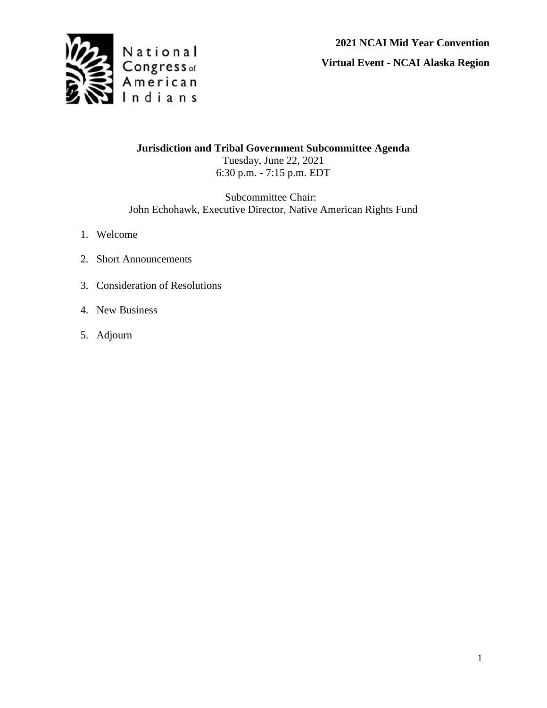

**2021 NCAI Mid Year Convention**

**Virtual Event - NCAI Alaska Region**

**Jurisdiction and Tribal Government Subcommittee Agenda** Tuesday, June 22, 2021 6:30 p.m. - 7:15 p.m. EDT

Subcommittee Chair: John Echohawk, Executive Director, Native American Rights Fund

- 1. Welcome
- 2. Short Announcements
- 3. Consideration of Resolutions
- 4. New Business
- 5. Adjourn